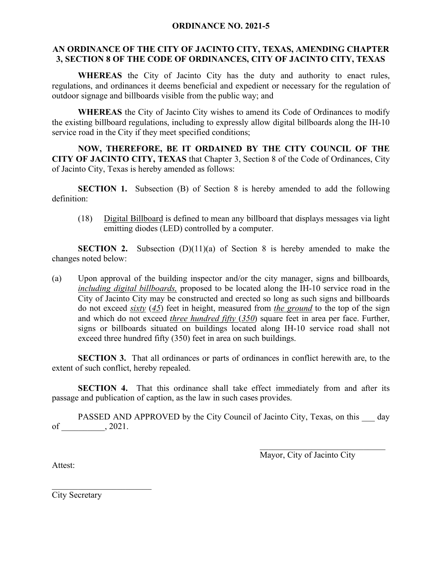## **ORDINANCE NO. 2021-5**

## **AN ORDINANCE OF THE CITY OF JACINTO CITY, TEXAS, AMENDING CHAPTER 3, SECTION 8 OF THE CODE OF ORDINANCES, CITY OF JACINTO CITY, TEXAS**

**WHEREAS** the City of Jacinto City has the duty and authority to enact rules, regulations, and ordinances it deems beneficial and expedient or necessary for the regulation of outdoor signage and billboards visible from the public way; and

**WHEREAS** the City of Jacinto City wishes to amend its Code of Ordinances to modify the existing billboard regulations, including to expressly allow digital billboards along the IH-10 service road in the City if they meet specified conditions;

**NOW, THEREFORE, BE IT ORDAINED BY THE CITY COUNCIL OF THE CITY OF JACINTO CITY, TEXAS** that Chapter 3, Section 8 of the Code of Ordinances, City of Jacinto City, Texas is hereby amended as follows:

**SECTION 1.** Subsection (B) of Section 8 is hereby amended to add the following definition:

(18) Digital Billboard is defined to mean any billboard that displays messages via light emitting diodes (LED) controlled by a computer.

**SECTION 2.** Subsection (D)(11)(a) of Section 8 is hereby amended to make the changes noted below:

(a) Upon approval of the building inspector and/or the city manager, signs and billboards*, including digital billboards,* proposed to be located along the IH-10 service road in the City of Jacinto City may be constructed and erected so long as such signs and billboards do not exceed *sixty* (*45*) feet in height, measured from *the ground* to the top of the sign and which do not exceed *three hundred fifty* (*350*) square feet in area per face. Further, signs or billboards situated on buildings located along IH-10 service road shall not exceed three hundred fifty (350) feet in area on such buildings.

**SECTION 3.** That all ordinances or parts of ordinances in conflict herewith are, to the extent of such conflict, hereby repealed.

**SECTION 4.** That this ordinance shall take effect immediately from and after its passage and publication of caption, as the law in such cases provides.

PASSED AND APPROVED by the City Council of Jacinto City, Texas, on this day of \_\_\_\_\_\_\_\_\_\_, 2021.

Mayor, City of Jacinto City

 $\mathcal{L}_\mathcal{L}$  , which is a set of the set of the set of the set of the set of the set of the set of the set of the set of the set of the set of the set of the set of the set of the set of the set of the set of the set of

Attest:

City Secretary